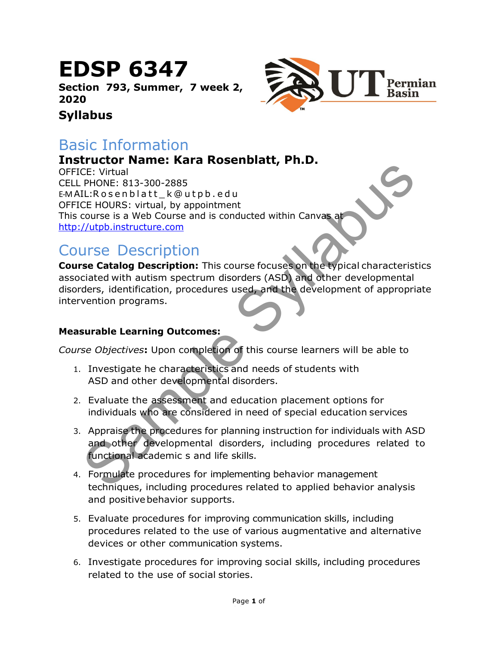# EDSP 6347

Section 793, Summer, 7 week 2, 2020

### Syllabus

## Basic Information

### Instructor Name: Kara Rosenblatt, Ph.D.

CE: Virtual<br>
CE: Virtual<br>
CE: Virtual<br>
CE: Virtual<br>
CE: Virtual<br>
CE: HOURS: virtual, by appointment<br>
CE: HOURS: virtual, by appointment<br>
CUE HOURS: virtual, by appointment<br>
CUE HOURS: virtual, by appointment<br>
CUE CE HOURS: OFFICE: Virtual CELL PHONE: 813-300-2885 E-MAIL: Rosenblatt k@utpb.edu OFFICE HOURS: virtual, by appointment This course is a Web Course and is conducted within Canvas at http://utpb.instructure.com

# Course Description

Course Catalog Description: This course focuses on the typical characteristics associated with autism spectrum disorders (ASD) and other developmental disorders, identification, procedures used, and the development of appropriate intervention programs.

### Measurable Learning Outcomes:

Course Objectives: Upon completion of this course learners will be able to

- 1. Investigate he characteristics and needs of students with ASD and other developmental disorders.
- 2. Evaluate the assessment and education placement options for individuals who are considered in need of special education services
- 3. Appraise the procedures for planning instruction for individuals with ASD and other developmental disorders, including procedures related to functional academic s and life skills.
- 4. Formulate procedures for implementing behavior management techniques, including procedures related to applied behavior analysis and positive behavior supports.
- 5. Evaluate procedures for improving communication skills, including procedures related to the use of various augmentative and alternative devices or other communication systems.
- 6. Investigate procedures for improving social skills, including procedures related to the use of social stories.

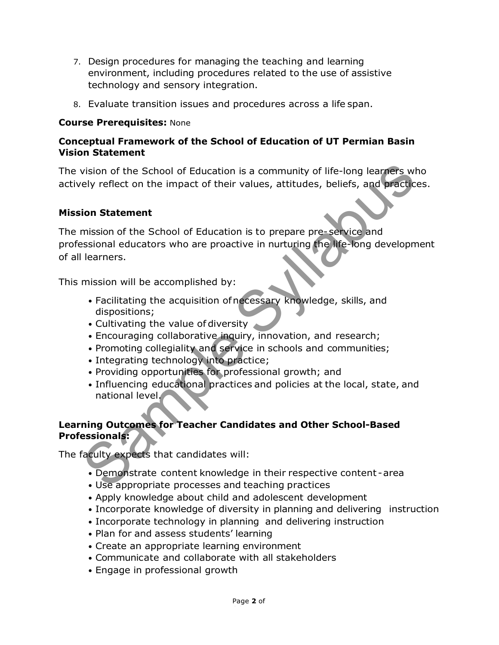- 7. Design procedures for managing the teaching and learning environment, including procedures related to the use of assistive technology and sensory integration.
- 8. Evaluate transition issues and procedures across a life span.

### Course Prerequisites: None

### Conceptual Framework of the School of Education of UT Permian Basin Vision Statement

The vision of the School of Education is a community of life-long learners who actively reflect on the impact of their values, attitudes, beliefs, and practices.

### Mission Statement

vision of the School of Education is a community of life-long learners who<br>ely reflect on the impact of their values, attitudes, beliefs, and practices<br>
ion Statement<br>
mission of the School of Education is to prepare pre-s The mission of the School of Education is to prepare pre- service and professional educators who are proactive in nurturing the life-long development of all learners.

This mission will be accomplished by:

- Facilitating the acquisition of necessary knowledge, skills, and dispositions;
- Cultivating the value of diversity
- Encouraging collaborative inquiry, innovation, and research;
- Promoting collegiality and service in schools and communities;
- Integrating technology into practice;
- Providing opportunities for professional growth; and
- Influencing educational practices and policies at the local, state, and national level.

### Learning Outcomes for Teacher Candidates and Other School-Based Professionals:

The faculty expects that candidates will:

- Demonstrate content knowledge in their respective content area
- Use appropriate processes and teaching practices
- Apply knowledge about child and adolescent development
- Incorporate knowledge of diversity in planning and delivering instruction
- Incorporate technology in planning and delivering instruction
- Plan for and assess students' learning
- Create an appropriate learning environment
- Communicate and collaborate with all stakeholders
- Engage in professional growth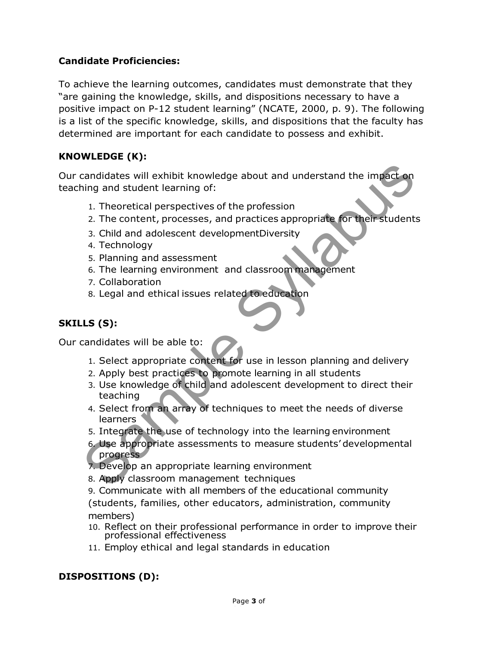### Candidate Proficiencies:

To achieve the learning outcomes, candidates must demonstrate that they "are gaining the knowledge, skills, and dispositions necessary to have a positive impact on P-12 student learning" (NCATE, 2000, p. 9). The following is a list of the specific knowledge, skills, and dispositions that the faculty has determined are important for each candidate to possess and exhibit.

### KNOWLEDGE (K):

candidates will exhibit knowledge about and understand the impact on<br>
ing and student learning of:<br>
1. Theoretical perspectives of the profession<br>
2. The content, processes, and practices appropriate for their students<br>
3. Our candidates will exhibit knowledge about and understand the impact on teaching and student learning of:

- 1. Theoretical perspectives of the profession
- 2. The content, processes, and practices appropriate for their students
- 3. Child and adolescent developmentDiversity
- 4. Technology
- 5. Planning and assessment
- 6. The learning environment and classroom management
- 7. Collaboration
- 8. Legal and ethical issues related to education

### SKILLS (S):

Our candidates will be able to:

- 1. Select appropriate content for use in lesson planning and delivery
- 2. Apply best practices to promote learning in all students
- 3. Use knowledge of child and adolescent development to direct their teaching
- 4. Select from an array of techniques to meet the needs of diverse learners
- 5. Integrate the use of technology into the learning environment
- 6. Use appropriate assessments to measure students' developmental progress
- 7. Develop an appropriate learning environment
- 8. Apply classroom management techniques
- 9. Communicate with all members of the educational community

(students, families, other educators, administration, community members)

- 10. Reflect on their professional performance in order to improve their professional effectiveness
- 11. Employ ethical and legal standards in education

### DISPOSITIONS (D):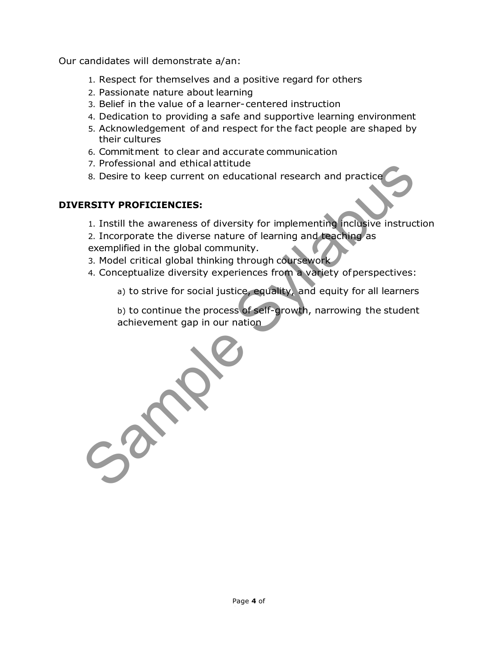Our candidates will demonstrate a/an:

- 1. Respect for themselves and a positive regard for others
- 2. Passionate nature about learning
- 3. Belief in the value of a learner- centered instruction
- 4. Dedication to providing a safe and supportive learning environment
- 5. Acknowledgement of and respect for the fact people are shaped by their cultures
- 6. Commitment to clear and accurate communication
- 7. Professional and ethical attitude
- 8. Desire to keep current on educational research and practice

### DIVERSITY PROFICIENCIES:

1. Instill the awareness of diversity for implementing inclusive instruction

2. Incorporate the diverse nature of learning and teaching as exemplified in the global community.

- 3. Model critical global thinking through coursework
- 4. Conceptualize diversity experiences from a variety of perspectives:

a) to strive for social justice, equality, and equity for all learners

b) to continue the process of self-growth, narrowing the student achievement gap in our nation

7. Professional and etnical attitude<br>
8. Desire to keep current on educational research and practice<br> **ERSITY PROFICENCIES:**<br>
1. Instill the awareness of diversity for implementing inclusive instructic<br>
2. Incorporate the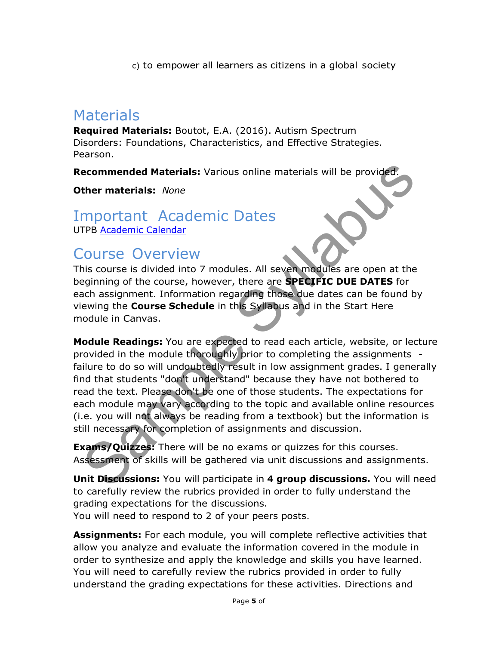c) to empower all learners as citizens in a global society

# **Materials**

Required Materials: Boutot, E.A. (2016). Autism Spectrum Disorders: Foundations, Characteristics, and Effective Strategies. Pearson.

Recommended Materials: Various online materials will be provided.

**Other materials: None** 

# Important Academic Dates

UTPB Academic Calendar

## Course Overview

This course is divided into 7 modules. All seven modules are open at the beginning of the course, however, there are **SPECIFIC DUE DATES** for each assignment. Information regarding those due dates can be found by viewing the Course Schedule in this Syllabus and in the Start Here module in Canvas.

**Example Syllabuse Syllabuse Syllabuse Syllabuse Syllabuse Syllabuse Syllabuse Syllabuse Syllabuse Syllabuse Syllabuse Syllabuse Syllabuse Syllabuse Syllabuse Syllabuse Syllabuse Syllabuse Syllabuse Syllabuse Syllabuse Syl Module Readings:** You are expected to read each article, website, or lecture provided in the module thoroughly prior to completing the assignments failure to do so will undoubtedly result in low assignment grades. I generally find that students "don't understand" because they have not bothered to read the text. Please don't be one of those students. The expectations for each module may vary according to the topic and available online resources (i.e. you will not always be reading from a textbook) but the information is still necessary for completion of assignments and discussion.

**Exams/Quizzes:** There will be no exams or quizzes for this courses. Assessment of skills will be gathered via unit discussions and assignments.

Unit Discussions: You will participate in 4 group discussions. You will need to carefully review the rubrics provided in order to fully understand the grading expectations for the discussions.

You will need to respond to 2 of your peers posts.

**Assignments:** For each module, you will complete reflective activities that allow you analyze and evaluate the information covered in the module in order to synthesize and apply the knowledge and skills you have learned. You will need to carefully review the rubrics provided in order to fully understand the grading expectations for these activities. Directions and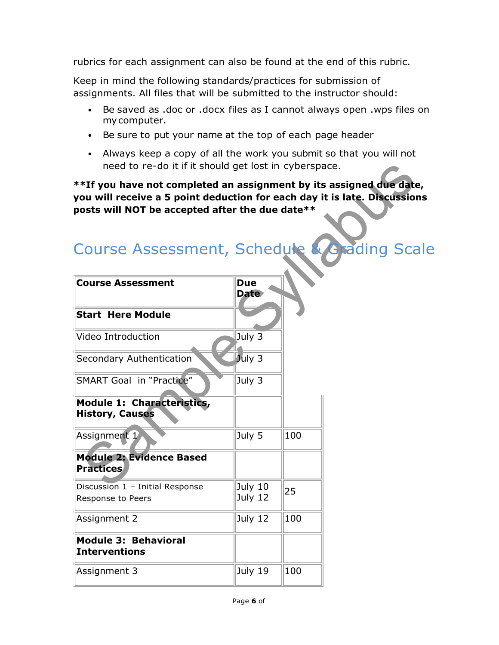rubrics for each assignment can also be found at the end of this rubric.

Keep in mind the following standards/practices for submission of assignments. All files that will be submitted to the instructor should:

- Be saved as .doc or .docx files as I cannot always open .wps files on my computer.
- Be sure to put your name at the top of each page header
- Always keep a copy of all the work you submit so that you will not need to re-do it if it should get lost in cyberspace.

| Course Assessment, Schedule & Grading Scale |  |  |  |
|---------------------------------------------|--|--|--|

| need to re-do it if it should get lost in cyberspace.                                                                                                                                               |                           |     |            |
|-----------------------------------------------------------------------------------------------------------------------------------------------------------------------------------------------------|---------------------------|-----|------------|
| **If you have not completed an assignment by its assigned due date,<br>you will receive a 5 point deduction for each day it is late. Discussions<br>posts will NOT be accepted after the due date** |                           |     |            |
| Course Assessment, Schedule                                                                                                                                                                         |                           |     | ading Scal |
| <b>Course Assessment</b>                                                                                                                                                                            | <b>Due</b><br><b>Date</b> |     |            |
| <b>Start Here Module</b>                                                                                                                                                                            |                           |     |            |
| Video Introduction                                                                                                                                                                                  | July 3                    |     |            |
| Secondary Authentication                                                                                                                                                                            | July 3                    |     |            |
| <b>SMART Goal in "Practice"</b>                                                                                                                                                                     | July 3                    |     |            |
| Module 1: Characteristics,<br><b>History, Causes</b>                                                                                                                                                |                           |     |            |
| Assignment 1                                                                                                                                                                                        | July 5                    | 100 |            |
| <b>Module 2: Evidence Based</b><br><b>Practices</b>                                                                                                                                                 |                           |     |            |
| Discussion 1 - Initial Response<br>Response to Peers                                                                                                                                                | July 10<br>July 12        | 25  |            |
| Assignment 2                                                                                                                                                                                        | July 12                   | 100 |            |
| <b>Module 3: Behavioral</b><br><b>Interventions</b>                                                                                                                                                 |                           |     |            |
| Assignment 3                                                                                                                                                                                        | July 19                   | 100 |            |
|                                                                                                                                                                                                     |                           |     |            |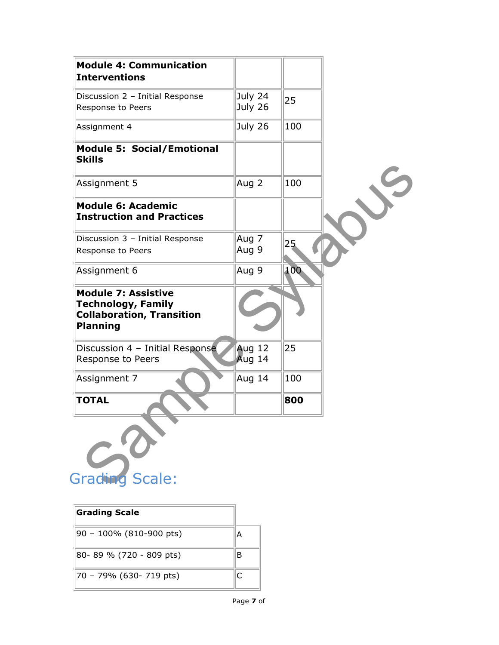| <b>Module 4: Communication</b><br><b>Interventions</b>                                                         |                    |     |  |
|----------------------------------------------------------------------------------------------------------------|--------------------|-----|--|
| Discussion 2 - Initial Response<br>Response to Peers                                                           | July 24<br>July 26 | 25  |  |
| Assignment 4                                                                                                   | July 26            | 100 |  |
| <b>Module 5: Social/Emotional</b><br><b>Skills</b>                                                             |                    |     |  |
| Assignment 5                                                                                                   | Aug 2              | 100 |  |
| <b>Module 6: Academic</b><br><b>Instruction and Practices</b>                                                  |                    |     |  |
| Discussion 3 - Initial Response                                                                                | Aug 7              | 25  |  |
| Response to Peers                                                                                              | Aug 9              |     |  |
| Assignment 6                                                                                                   | Aug 9              | 100 |  |
| <b>Module 7: Assistive</b><br><b>Technology, Family</b><br><b>Collaboration, Transition</b><br><b>Planning</b> |                    |     |  |
| Discussion 4 - Initial Response<br>Response to Peers                                                           | Aug 12<br>Aug 14   | 25  |  |
| Assignment 7                                                                                                   | Aug 14             | 100 |  |
| <b>TOTAL</b>                                                                                                   |                    | 800 |  |
| Grading Scale:                                                                                                 |                    |     |  |

| <b>Grading Scale</b>       |   |
|----------------------------|---|
| $90 - 100\%$ (810-900 pts) | А |
| 80-89 % (720 - 809 pts)    | В |
| 70 - 79% (630- 719 pts)    |   |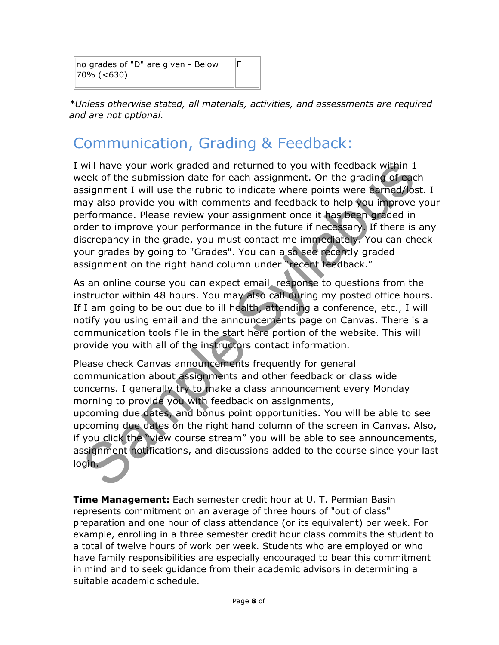no grades of "D" are given - Below 70% (<630)

\*Unless otherwise stated, all materials, activities, and assessments are required and are not optional.

F

# Communication, Grading & Feedback:

I will have your work graded and returned to you with feedback within 1 week of the submission date for each assignment. On the grading of each assignment I will use the rubric to indicate where points were earned/lost. I may also provide you with comments and feedback to help you improve your performance. Please review your assignment once it has been graded in order to improve your performance in the future if necessary. If there is any discrepancy in the grade, you must contact me immediately. You can check your grades by going to "Grades". You can also see recently graded assignment on the right hand column under "recent feedback."

As an online course you can expect email response to questions from the instructor within 48 hours. You may also call during my posted office hours. If I am going to be out due to ill health, attending a conference, etc., I will notify you using email and the announcements page on Canvas. There is a communication tools file in the start here portion of the website. This will provide you with all of the instructors contact information.

will have your work graded and returned to you with feedback within 1<br>eek of the submission date for each assignment. On the grading of each<br>esignment I will use the rubric to indicate where points were earned/lost.<br>ay als Please check Canvas announcements frequently for general communication about assignments and other feedback or class wide concerns. I generally try to make a class announcement every Monday morning to provide you with feedback on assignments, upcoming due dates, and bonus point opportunities. You will be able to see upcoming due dates on the right hand column of the screen in Canvas. Also, if you click the "view course stream" you will be able to see announcements, assignment notifications, and discussions added to the course since your last login.

**Time Management:** Each semester credit hour at U. T. Permian Basin represents commitment on an average of three hours of "out of class" preparation and one hour of class attendance (or its equivalent) per week. For example, enrolling in a three semester credit hour class commits the student to a total of twelve hours of work per week. Students who are employed or who have family responsibilities are especially encouraged to bear this commitment in mind and to seek guidance from their academic advisors in determining a suitable academic schedule.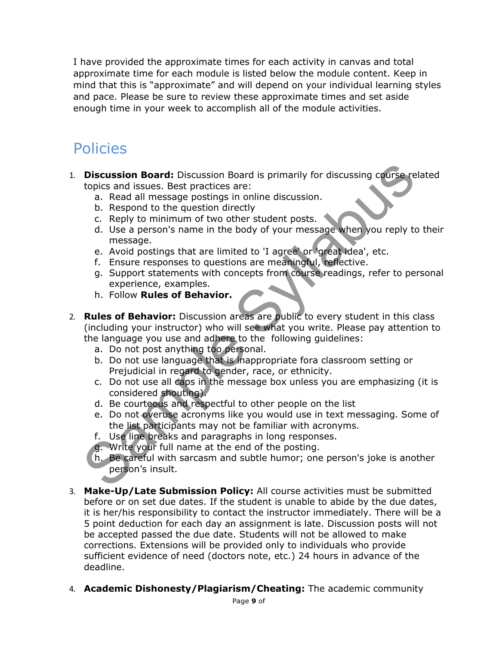I have provided the approximate times for each activity in canvas and total approximate time for each module is listed below the module content. Keep in mind that this is "approximate" and will depend on your individual learning styles and pace. Please be sure to review these approximate times and set aside enough time in your week to accomplish all of the module activities.

## Policies

- 1. **Discussion Board:** Discussion Board is primarily for discussing course related topics and issues. Best practices are:
	- a. Read all message postings in online discussion.
	- b. Respond to the question directly
	- c. Reply to minimum of two other student posts.
	- d. Use a person's name in the body of your message when you reply to their message.
	- e. Avoid postings that are limited to 'I agree' or 'great idea', etc.
	- f. Ensure responses to questions are meaningful, reflective.
	- g. Support statements with concepts from course readings, refer to personal experience, examples.
	- h. Follow Rules of Behavior.
- **Discussion Board:** Discussion Board is primarily for discussing course relations:<br>
a. Reapond to the question of two other student posts.<br>
b. Reapond to the question directly<br>
c. Reply to minimum of two other student post 2. Rules of Behavior: Discussion areas are public to every student in this class (including your instructor) who will see what you write. Please pay attention to the language you use and adhere to the following guidelines:
	- a. Do not post anything too personal.
	- b. Do not use language that is inappropriate fora classroom setting or Prejudicial in regard to gender, race, or ethnicity.
	- c. Do not use all caps in the message box unless you are emphasizing (it is considered shouting).
	- d. Be courteous and respectful to other people on the list
	- e. Do not overuse acronyms like you would use in text messaging. Some of the list participants may not be familiar with acronyms.
	- f. Use line breaks and paragraphs in long responses.
	- g. Write your full name at the end of the posting.
	- h. Be careful with sarcasm and subtle humor; one person's joke is another person's insult.
- 3. Make-Up/Late Submission Policy: All course activities must be submitted before or on set due dates. If the student is unable to abide by the due dates, it is her/his responsibility to contact the instructor immediately. There will be a 5 point deduction for each day an assignment is late. Discussion posts will not be accepted passed the due date. Students will not be allowed to make corrections. Extensions will be provided only to individuals who provide sufficient evidence of need (doctors note, etc.) 24 hours in advance of the deadline.
- 4. **Academic Dishonesty/Plagiarism/Cheating:** The academic community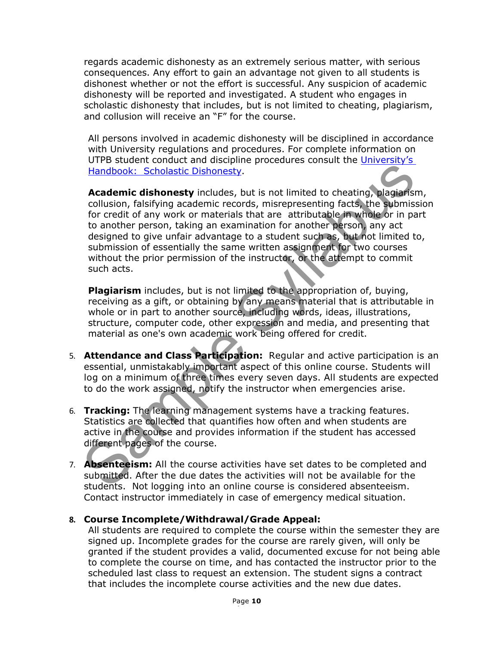regards academic dishonesty as an extremely serious matter, with serious consequences. Any effort to gain an advantage not given to all students is dishonest whether or not the effort is successful. Any suspicion of academic dishonesty will be reported and investigated. A student who engages in scholastic dishonesty that includes, but is not limited to cheating, plagiarism, and collusion will receive an "F" for the course.

All persons involved in academic dishonesty will be disciplined in accordance with University regulations and procedures. For complete information on UTPB student conduct and discipline procedures consult the University's Handbook: Scholastic Dishonesty.

Franchine Contact and distribute in the supprementation of the station stational station is the station of credit of any positive receives the contact of the contact of the contact of the credit of any order of rocetar of Academic dishonesty includes, but is not limited to cheating, plagiarism, collusion, falsifying academic records, misrepresenting facts, the submission for credit of any work or materials that are attributable in whole or in part to another person, taking an examination for another person, any act designed to give unfair advantage to a student such as, but not limited to, submission of essentially the same written assignment for two courses without the prior permission of the instructor, or the attempt to commit such acts.

Plagiarism includes, but is not limited to the appropriation of, buying, receiving as a gift, or obtaining by any means material that is attributable in whole or in part to another source, including words, ideas, illustrations, structure, computer code, other expression and media, and presenting that material as one's own academic work being offered for credit.

- 5. Attendance and Class Participation: Regular and active participation is an essential, unmistakably important aspect of this online course. Students will log on a minimum of three times every seven days. All students are expected to do the work assigned, notify the instructor when emergencies arise.
- 6. Tracking: The learning management systems have a tracking features. Statistics are collected that quantifies how often and when students are active in the course and provides information if the student has accessed different pages of the course.
- 7. **Absenteeism:** All the course activities have set dates to be completed and submitted. After the due dates the activities will not be available for the students. Not logging into an online course is considered absenteeism. Contact instructor immediately in case of emergency medical situation.

### 8. Course Incomplete/Withdrawal/Grade Appeal:

All students are required to complete the course within the semester they are signed up. Incomplete grades for the course are rarely given, will only be granted if the student provides a valid, documented excuse for not being able to complete the course on time, and has contacted the instructor prior to the scheduled last class to request an extension. The student signs a contract that includes the incomplete course activities and the new due dates.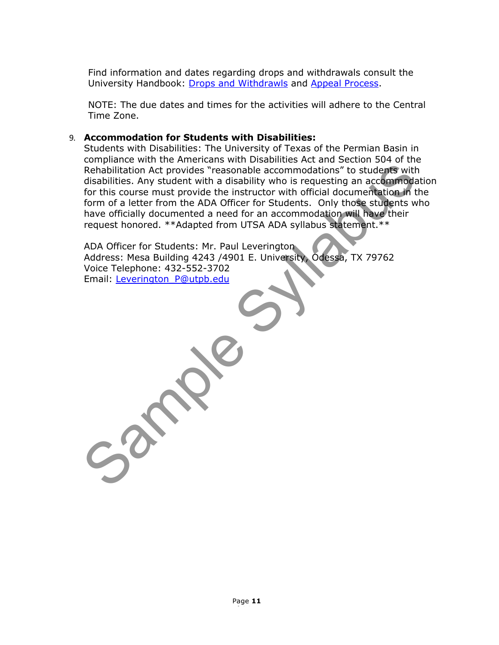Find information and dates regarding drops and withdrawals consult the University Handbook: Drops and Withdrawls and Appeal Process.

NOTE: The due dates and times for the activities will adhere to the Central Time Zone.

#### 9. Accommodation for Students with Disabilities:

Rehabilitation Act provides "reasonable accommodations" to students with<br>disabilities. Any student with a disability who is requesting an accommodation<br>for this course must provide the instructor with official documentatio Students with Disabilities: The University of Texas of the Permian Basin in compliance with the Americans with Disabilities Act and Section 504 of the Rehabilitation Act provides "reasonable accommodations" to students with disabilities. Any student with a disability who is requesting an accommodation for this course must provide the instructor with official documentation in the form of a letter from the ADA Officer for Students. Only those students who have officially documented a need for an accommodation will have their request honored. \*\*Adapted from UTSA ADA syllabus statement.\*\*

ADA Officer for Students: Mr. Paul Leverington Address: Mesa Building 4243 /4901 E. University, Odessa, TX 79762 Voice Telephone: 432-552-3702 Email: Leverington\_P@utpb.edu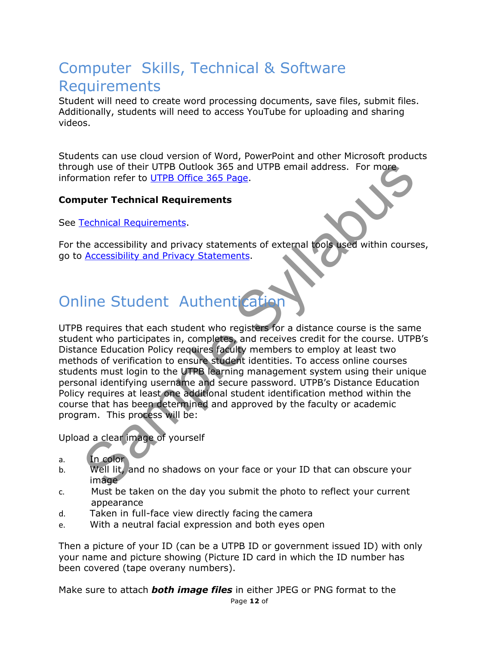# Computer Skills, Technical & Software Requirements

Student will need to create word processing documents, save files, submit files. Additionally, students will need to access YouTube for uploading and sharing videos.

Students can use cloud version of Word, PowerPoint and other Microsoft products through use of their UTPB Outlook 365 and UTPB email address. For more information refer to UTPB Office 365 Page.

### Computer Technical Requirements

See Technical Requirements.

For the accessibility and privacy statements of external tools used within courses, go to Accessibility and Privacy Statements.

# Online Student Authentication

right use of their UTPB Outlook 365 and UTPB email address. For more<br>mation refer to UTPB Office 365 Page.<br>
puter Technical Requirements.<br>
<u>Fechnical Requirements</u>.<br>
<u>Recessibility</u> and privacy statements of external tools UTPB requires that each student who registers for a distance course is the same student who participates in, completes, and receives credit for the course. UTPB's Distance Education Policy requires faculty members to employ at least two methods of verification to ensure student identities. To access online courses students must login to the UTPB learning management system using their unique personal identifying username and secure password. UTPB's Distance Education Policy requires at least one additional student identification method within the course that has been determined and approved by the faculty or academic program. This process will be:

Upload a clear image of yourself

- a. In color
- b. Well lit, and no shadows on your face or your ID that can obscure your image
- c. Must be taken on the day you submit the photo to reflect your current appearance
- d. Taken in full-face view directly facing the camera
- e. With a neutral facial expression and both eyes open

Then a picture of your ID (can be a UTPB ID or government issued ID) with only your name and picture showing (Picture ID card in which the ID number has been covered (tape overany numbers).

Make sure to attach **both image files** in either JPEG or PNG format to the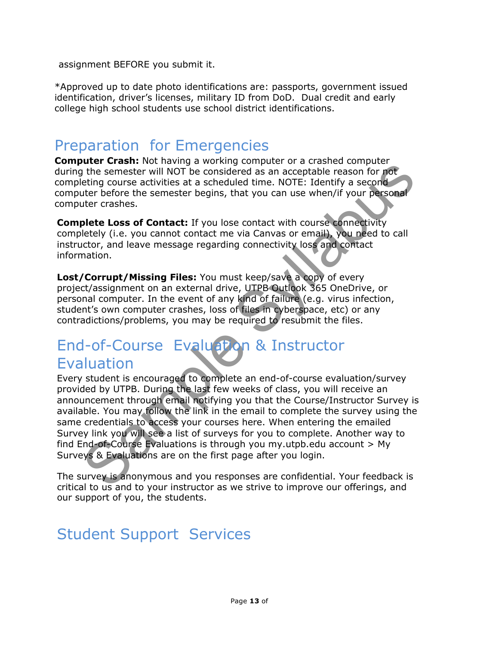assignment BEFORE you submit it.

\*Approved up to date photo identifications are: passports, government issued identification, driver's licenses, military ID from DoD. Dual credit and early college high school students use school district identifications.

## Preparation for Emergencies

**Computer Crash:** Not having a working computer or a crashed computer during the semester will NOT be considered as an acceptable reason for not completing course activities at a scheduled time. NOTE: Identify a second computer before the semester begins, that you can use when/if your personal computer crashes.

Complete Loss of Contact: If you lose contact with course connectivity completely (i.e. you cannot contact me via Canvas or email), you need to call instructor, and leave message regarding connectivity loss and contact information.

Lost/Corrupt/Missing Files: You must keep/save a copy of every project/assignment on an external drive, UTPB Outlook 365 OneDrive, or personal computer. In the event of any kind of failure (e.g. virus infection, student's own computer crashes, loss of files in cyberspace, etc) or any contradictions/problems, you may be required to resubmit the files.

# End-of-Course Evaluation & Instructor **Evaluation**

**Solution**<br> **Solution** Solution and you will considered as an acceptable reason for note<br>
the semester will NOT be considered as an acceptable reason for note<br>
tuter before the semester begins, that you can use when/if yav Every student is encouraged to complete an end-of-course evaluation/survey provided by UTPB. During the last few weeks of class, you will receive an announcement through email notifying you that the Course/Instructor Survey is available. You may follow the link in the email to complete the survey using the same credentials to access your courses here. When entering the emailed Survey link you will see a list of surveys for you to complete. Another way to find End-of-Course Evaluations is through you my.utpb.edu account  $> My$ Surveys & Evaluations are on the first page after you login.

The survey is anonymous and you responses are confidential. Your feedback is critical to us and to your instructor as we strive to improve our offerings, and our support of you, the students.

# Student Support Services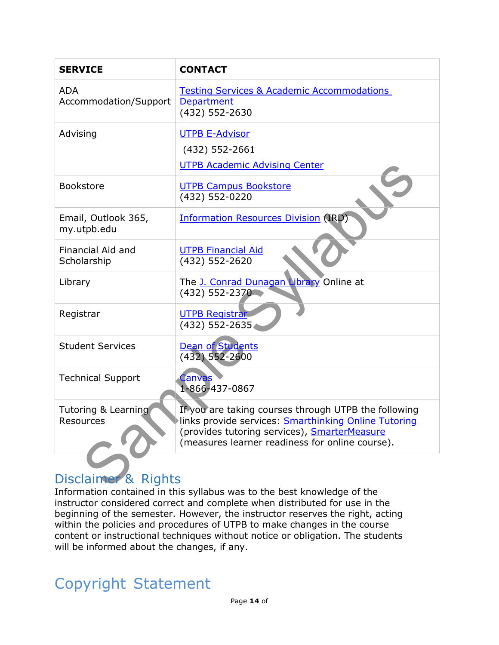| <b>SERVICE</b>                      | <b>CONTACT</b>                                                                                                                                                                                                         |
|-------------------------------------|------------------------------------------------------------------------------------------------------------------------------------------------------------------------------------------------------------------------|
| <b>ADA</b><br>Accommodation/Support | <b>Testing Services &amp; Academic Accommodations</b><br>Department<br>(432) 552-2630                                                                                                                                  |
| Advising                            | <b>UTPB E-Advisor</b><br>(432) 552-2661<br><b>UTPB Academic Advising Center</b>                                                                                                                                        |
| Bookstore                           | <b>UTPB Campus Bookstore</b><br>(432) 552-0220                                                                                                                                                                         |
| Email, Outlook 365,<br>my.utpb.edu  | <b>Information Resources Division (IRD)</b>                                                                                                                                                                            |
| Financial Aid and<br>Scholarship    | <b>UTPB Financial Aid</b><br>(432) 552-2620                                                                                                                                                                            |
| Library                             | The J. Conrad Dunagan Library Online at<br>(432) 552-2370                                                                                                                                                              |
| Registrar                           | <b>UTPB Registrar</b><br>(432) 552-2635.                                                                                                                                                                               |
| <b>Student Services</b>             | <b>Dean of Students</b><br>$(432)$ 552-2600                                                                                                                                                                            |
| <b>Technical Support</b>            | <u>Canvas</u><br>1-866-437-0867                                                                                                                                                                                        |
| Tutoring & Learning<br>Resources    | If you are taking courses through UTPB the following<br>links provide services: <b>Smarthinking Online Tutoring</b><br>(provides tutoring services), SmarterMeasure<br>(measures learner readiness for online course). |
| Disclaimer & Rights                 |                                                                                                                                                                                                                        |

## Disclaimer & Rights

Information contained in this syllabus was to the best knowledge of the instructor considered correct and complete when distributed for use in the beginning of the semester. However, the instructor reserves the right, acting within the policies and procedures of UTPB to make changes in the course content or instructional techniques without notice or obligation. The students will be informed about the changes, if any.

## Copyright Statement